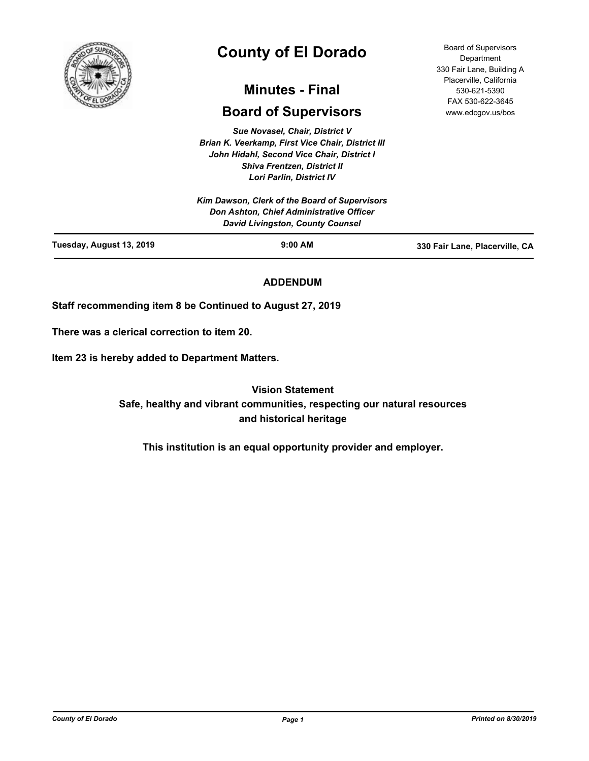

# **County of El Dorado**

## **Minutes - Final**

## **Board of Supervisors**

*Sue Novasel, Chair, District V Brian K. Veerkamp, First Vice Chair, District III John Hidahl, Second Vice Chair, District I Shiva Frentzen, District II Lori Parlin, District IV*

**Department** 330 Fair Lane, Building A Placerville, California 530-621-5390 FAX 530-622-3645 www.edcgov.us/bos

Board of Supervisors

|                          | Kim Dawson, Clerk of the Board of Supervisors<br>Don Ashton, Chief Administrative Officer<br><b>David Livingston, County Counsel</b> |                                |
|--------------------------|--------------------------------------------------------------------------------------------------------------------------------------|--------------------------------|
| Tuesday, August 13, 2019 | $9:00$ AM                                                                                                                            | 330 Fair Lane, Placerville, CA |

### **ADDENDUM**

**Staff recommending item 8 be Continued to August 27, 2019**

**There was a clerical correction to item 20.**

**Item 23 is hereby added to Department Matters.**

**Vision Statement Safe, healthy and vibrant communities, respecting our natural resources and historical heritage**

**This institution is an equal opportunity provider and employer.**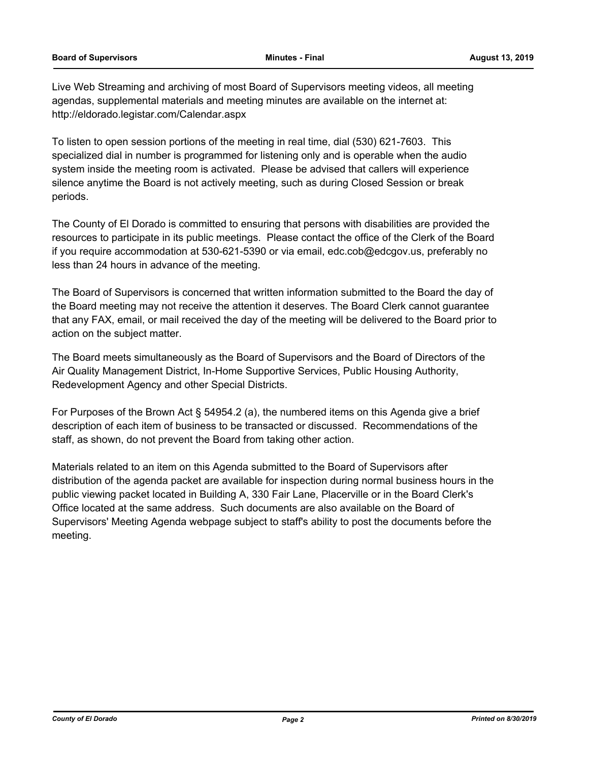Live Web Streaming and archiving of most Board of Supervisors meeting videos, all meeting agendas, supplemental materials and meeting minutes are available on the internet at: http://eldorado.legistar.com/Calendar.aspx

To listen to open session portions of the meeting in real time, dial (530) 621-7603. This specialized dial in number is programmed for listening only and is operable when the audio system inside the meeting room is activated. Please be advised that callers will experience silence anytime the Board is not actively meeting, such as during Closed Session or break periods.

The County of El Dorado is committed to ensuring that persons with disabilities are provided the resources to participate in its public meetings. Please contact the office of the Clerk of the Board if you require accommodation at 530-621-5390 or via email, edc.cob@edcgov.us, preferably no less than 24 hours in advance of the meeting.

The Board of Supervisors is concerned that written information submitted to the Board the day of the Board meeting may not receive the attention it deserves. The Board Clerk cannot guarantee that any FAX, email, or mail received the day of the meeting will be delivered to the Board prior to action on the subject matter.

The Board meets simultaneously as the Board of Supervisors and the Board of Directors of the Air Quality Management District, In-Home Supportive Services, Public Housing Authority, Redevelopment Agency and other Special Districts.

For Purposes of the Brown Act § 54954.2 (a), the numbered items on this Agenda give a brief description of each item of business to be transacted or discussed. Recommendations of the staff, as shown, do not prevent the Board from taking other action.

Materials related to an item on this Agenda submitted to the Board of Supervisors after distribution of the agenda packet are available for inspection during normal business hours in the public viewing packet located in Building A, 330 Fair Lane, Placerville or in the Board Clerk's Office located at the same address. Such documents are also available on the Board of Supervisors' Meeting Agenda webpage subject to staff's ability to post the documents before the meeting.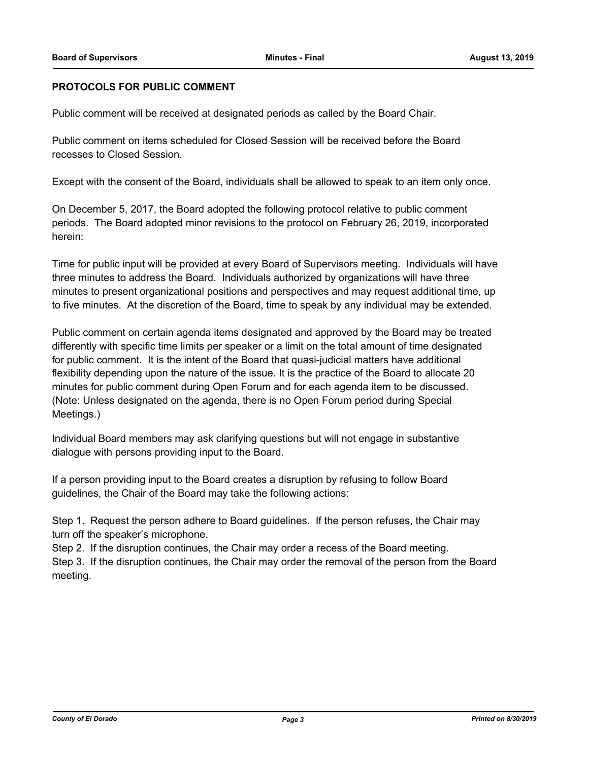### **PROTOCOLS FOR PUBLIC COMMENT**

Public comment will be received at designated periods as called by the Board Chair.

Public comment on items scheduled for Closed Session will be received before the Board recesses to Closed Session.

Except with the consent of the Board, individuals shall be allowed to speak to an item only once.

On December 5, 2017, the Board adopted the following protocol relative to public comment periods. The Board adopted minor revisions to the protocol on February 26, 2019, incorporated herein:

Time for public input will be provided at every Board of Supervisors meeting. Individuals will have three minutes to address the Board. Individuals authorized by organizations will have three minutes to present organizational positions and perspectives and may request additional time, up to five minutes. At the discretion of the Board, time to speak by any individual may be extended.

Public comment on certain agenda items designated and approved by the Board may be treated differently with specific time limits per speaker or a limit on the total amount of time designated for public comment. It is the intent of the Board that quasi-judicial matters have additional flexibility depending upon the nature of the issue. It is the practice of the Board to allocate 20 minutes for public comment during Open Forum and for each agenda item to be discussed. (Note: Unless designated on the agenda, there is no Open Forum period during Special Meetings.)

Individual Board members may ask clarifying questions but will not engage in substantive dialogue with persons providing input to the Board.

If a person providing input to the Board creates a disruption by refusing to follow Board guidelines, the Chair of the Board may take the following actions:

Step 1. Request the person adhere to Board guidelines. If the person refuses, the Chair may turn off the speaker's microphone.

Step 2. If the disruption continues, the Chair may order a recess of the Board meeting.

Step 3. If the disruption continues, the Chair may order the removal of the person from the Board meeting.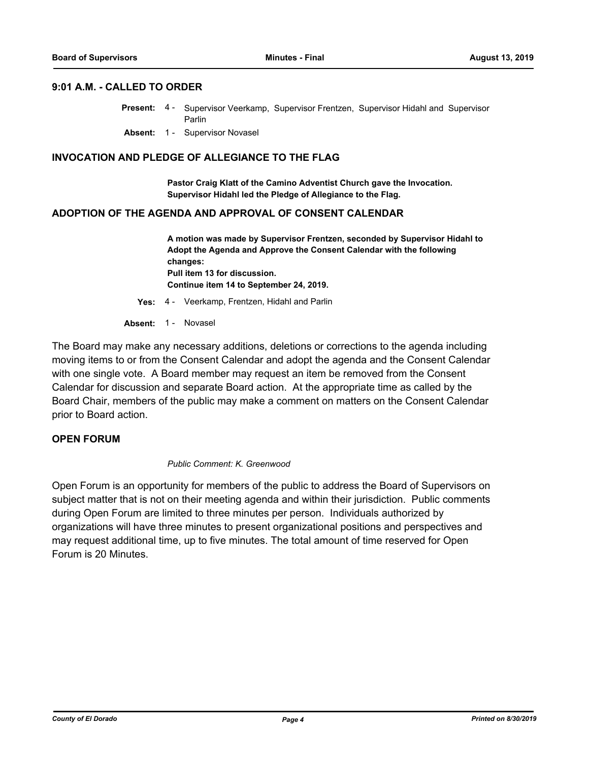### **9:01 A.M. - CALLED TO ORDER**

- Present: 4 Supervisor Veerkamp, Supervisor Frentzen, Supervisor Hidahl and Supervisor Parlin
	- **Absent:** 1 Supervisor Novasel

### **INVOCATION AND PLEDGE OF ALLEGIANCE TO THE FLAG**

**Pastor Craig Klatt of the Camino Adventist Church gave the Invocation. Supervisor Hidahl led the Pledge of Allegiance to the Flag.**

### **ADOPTION OF THE AGENDA AND APPROVAL OF CONSENT CALENDAR**

**A motion was made by Supervisor Frentzen, seconded by Supervisor Hidahl to Adopt the Agenda and Approve the Consent Calendar with the following changes: Pull item 13 for discussion. Continue item 14 to September 24, 2019.**

**Yes:** 4 - Veerkamp, Frentzen, Hidahl and Parlin

### Absent: 1 - Novasel

The Board may make any necessary additions, deletions or corrections to the agenda including moving items to or from the Consent Calendar and adopt the agenda and the Consent Calendar with one single vote. A Board member may request an item be removed from the Consent Calendar for discussion and separate Board action. At the appropriate time as called by the Board Chair, members of the public may make a comment on matters on the Consent Calendar prior to Board action.

### **OPEN FORUM**

### *Public Comment: K. Greenwood*

Open Forum is an opportunity for members of the public to address the Board of Supervisors on subject matter that is not on their meeting agenda and within their jurisdiction. Public comments during Open Forum are limited to three minutes per person. Individuals authorized by organizations will have three minutes to present organizational positions and perspectives and may request additional time, up to five minutes. The total amount of time reserved for Open Forum is 20 Minutes.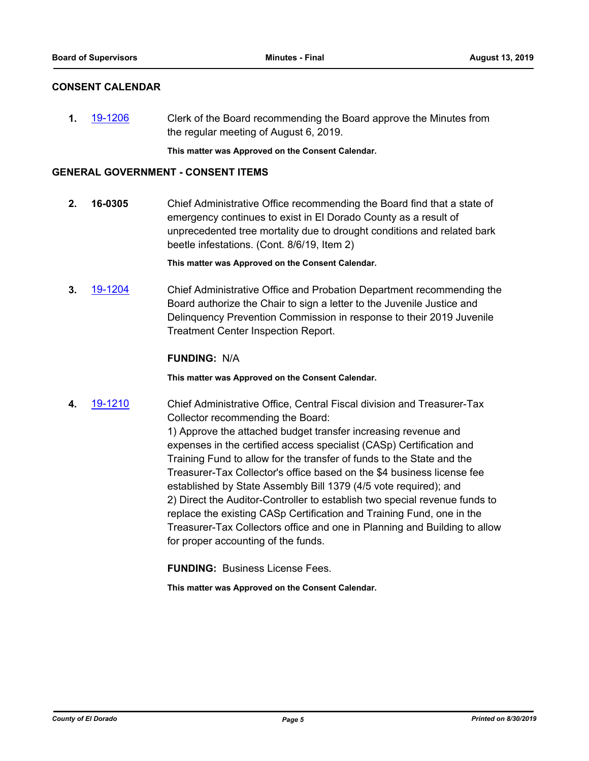### **CONSENT CALENDAR**

**1.** [19-1206](http://eldorado.legistar.com/gateway.aspx?m=l&id=/matter.aspx?key=26529) Clerk of the Board recommending the Board approve the Minutes from the regular meeting of August 6, 2019.

**This matter was Approved on the Consent Calendar.**

### **GENERAL GOVERNMENT - CONSENT ITEMS**

**2. 16-0305** Chief Administrative Office recommending the Board find that a state of emergency continues to exist in El Dorado County as a result of unprecedented tree mortality due to drought conditions and related bark beetle infestations. (Cont. 8/6/19, Item 2)

**This matter was Approved on the Consent Calendar.**

**3.** [19-1204](http://eldorado.legistar.com/gateway.aspx?m=l&id=/matter.aspx?key=26527) Chief Administrative Office and Probation Department recommending the Board authorize the Chair to sign a letter to the Juvenile Justice and Delinquency Prevention Commission in response to their 2019 Juvenile Treatment Center Inspection Report.

### **FUNDING:** N/A

**This matter was Approved on the Consent Calendar.**

**4.** [19-1210](http://eldorado.legistar.com/gateway.aspx?m=l&id=/matter.aspx?key=26533) Chief Administrative Office, Central Fiscal division and Treasurer-Tax Collector recommending the Board:

> 1) Approve the attached budget transfer increasing revenue and expenses in the certified access specialist (CASp) Certification and Training Fund to allow for the transfer of funds to the State and the Treasurer-Tax Collector's office based on the \$4 business license fee established by State Assembly Bill 1379 (4/5 vote required); and 2) Direct the Auditor-Controller to establish two special revenue funds to replace the existing CASp Certification and Training Fund, one in the Treasurer-Tax Collectors office and one in Planning and Building to allow for proper accounting of the funds.

**FUNDING:** Business License Fees.

**This matter was Approved on the Consent Calendar.**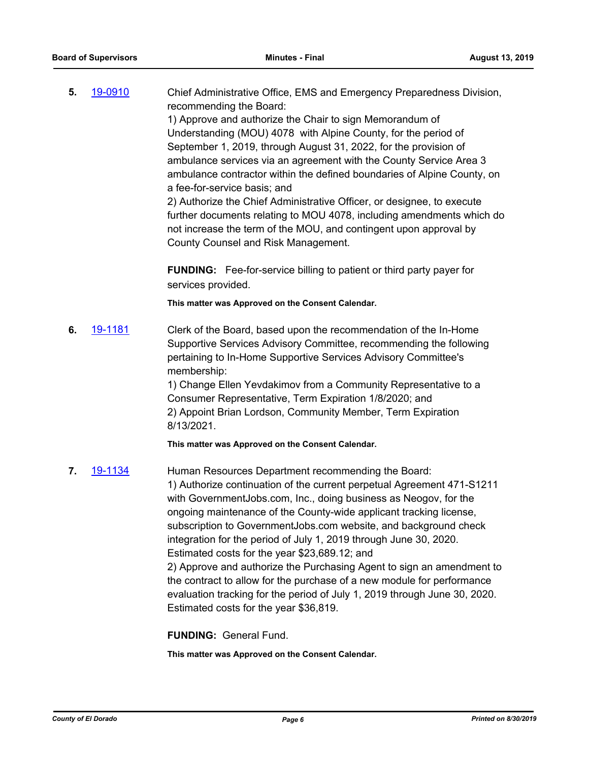**5.** [19-0910](http://eldorado.legistar.com/gateway.aspx?m=l&id=/matter.aspx?key=26233) Chief Administrative Office, EMS and Emergency Preparedness Division, recommending the Board: 1) Approve and authorize the Chair to sign Memorandum of Understanding (MOU) 4078 with Alpine County, for the period of September 1, 2019, through August 31, 2022, for the provision of

ambulance services via an agreement with the County Service Area 3 ambulance contractor within the defined boundaries of Alpine County, on a fee-for-service basis; and

2) Authorize the Chief Administrative Officer, or designee, to execute further documents relating to MOU 4078, including amendments which do not increase the term of the MOU, and contingent upon approval by County Counsel and Risk Management.

**FUNDING:** Fee-for-service billing to patient or third party payer for services provided.

**This matter was Approved on the Consent Calendar.**

**6.** [19-1181](http://eldorado.legistar.com/gateway.aspx?m=l&id=/matter.aspx?key=26504) Clerk of the Board, based upon the recommendation of the In-Home Supportive Services Advisory Committee, recommending the following pertaining to In-Home Supportive Services Advisory Committee's membership:

> 1) Change Ellen Yevdakimov from a Community Representative to a Consumer Representative, Term Expiration 1/8/2020; and 2) Appoint Brian Lordson, Community Member, Term Expiration 8/13/2021.

**This matter was Approved on the Consent Calendar.**

**7.** [19-1134](http://eldorado.legistar.com/gateway.aspx?m=l&id=/matter.aspx?key=26456) Human Resources Department recommending the Board: 1) Authorize continuation of the current perpetual Agreement 471-S1211 with GovernmentJobs.com, Inc., doing business as Neogov, for the ongoing maintenance of the County-wide applicant tracking license, subscription to GovernmentJobs.com website, and background check integration for the period of July 1, 2019 through June 30, 2020. Estimated costs for the year \$23,689.12; and 2) Approve and authorize the Purchasing Agent to sign an amendment to the contract to allow for the purchase of a new module for performance evaluation tracking for the period of July 1, 2019 through June 30, 2020. Estimated costs for the year \$36,819.

**FUNDING:** General Fund.

**This matter was Approved on the Consent Calendar.**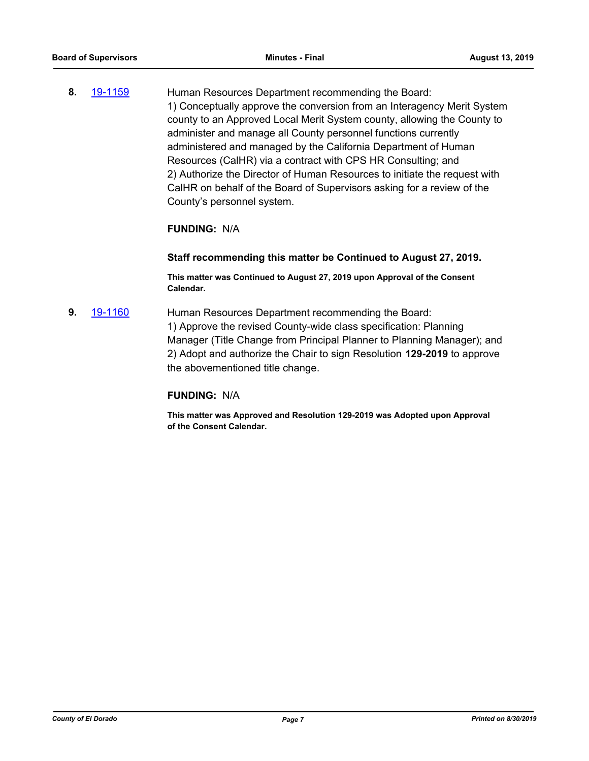**8.** [19-1159](http://eldorado.legistar.com/gateway.aspx?m=l&id=/matter.aspx?key=26482) Human Resources Department recommending the Board: 1) Conceptually approve the conversion from an Interagency Merit System county to an Approved Local Merit System county, allowing the County to administer and manage all County personnel functions currently administered and managed by the California Department of Human Resources (CalHR) via a contract with CPS HR Consulting; and 2) Authorize the Director of Human Resources to initiate the request with CalHR on behalf of the Board of Supervisors asking for a review of the County's personnel system.

### **FUNDING:** N/A

### **Staff recommending this matter be Continued to August 27, 2019.**

**This matter was Continued to August 27, 2019 upon Approval of the Consent Calendar.**

**9.** [19-1160](http://eldorado.legistar.com/gateway.aspx?m=l&id=/matter.aspx?key=26483) Human Resources Department recommending the Board: 1) Approve the revised County-wide class specification: Planning Manager (Title Change from Principal Planner to Planning Manager); and 2) Adopt and authorize the Chair to sign Resolution **129-2019** to approve the abovementioned title change.

### **FUNDING:** N/A

**This matter was Approved and Resolution 129-2019 was Adopted upon Approval of the Consent Calendar.**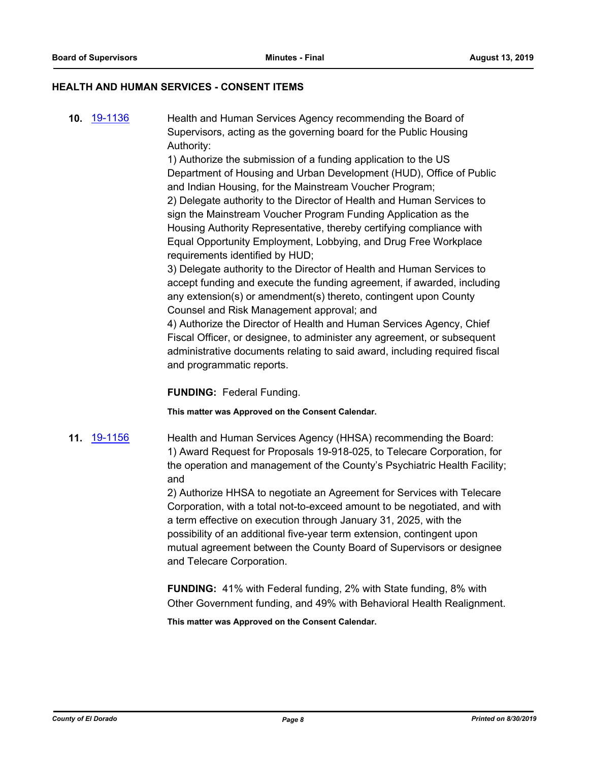### **HEALTH AND HUMAN SERVICES - CONSENT ITEMS**

**10.** [19-1136](http://eldorado.legistar.com/gateway.aspx?m=l&id=/matter.aspx?key=26458) Health and Human Services Agency recommending the Board of Supervisors, acting as the governing board for the Public Housing Authority:

> 1) Authorize the submission of a funding application to the US Department of Housing and Urban Development (HUD), Office of Public and Indian Housing, for the Mainstream Voucher Program; 2) Delegate authority to the Director of Health and Human Services to sign the Mainstream Voucher Program Funding Application as the Housing Authority Representative, thereby certifying compliance with Equal Opportunity Employment, Lobbying, and Drug Free Workplace requirements identified by HUD;

3) Delegate authority to the Director of Health and Human Services to accept funding and execute the funding agreement, if awarded, including any extension(s) or amendment(s) thereto, contingent upon County Counsel and Risk Management approval; and

4) Authorize the Director of Health and Human Services Agency, Chief Fiscal Officer, or designee, to administer any agreement, or subsequent administrative documents relating to said award, including required fiscal and programmatic reports.

**FUNDING:** Federal Funding.

**This matter was Approved on the Consent Calendar.**

**11.** [19-1156](http://eldorado.legistar.com/gateway.aspx?m=l&id=/matter.aspx?key=26478) Health and Human Services Agency (HHSA) recommending the Board: 1) Award Request for Proposals 19-918-025, to Telecare Corporation, for the operation and management of the County's Psychiatric Health Facility; and

> 2) Authorize HHSA to negotiate an Agreement for Services with Telecare Corporation, with a total not-to-exceed amount to be negotiated, and with a term effective on execution through January 31, 2025, with the possibility of an additional five-year term extension, contingent upon mutual agreement between the County Board of Supervisors or designee and Telecare Corporation.

> **FUNDING:** 41% with Federal funding, 2% with State funding, 8% with Other Government funding, and 49% with Behavioral Health Realignment.

**This matter was Approved on the Consent Calendar.**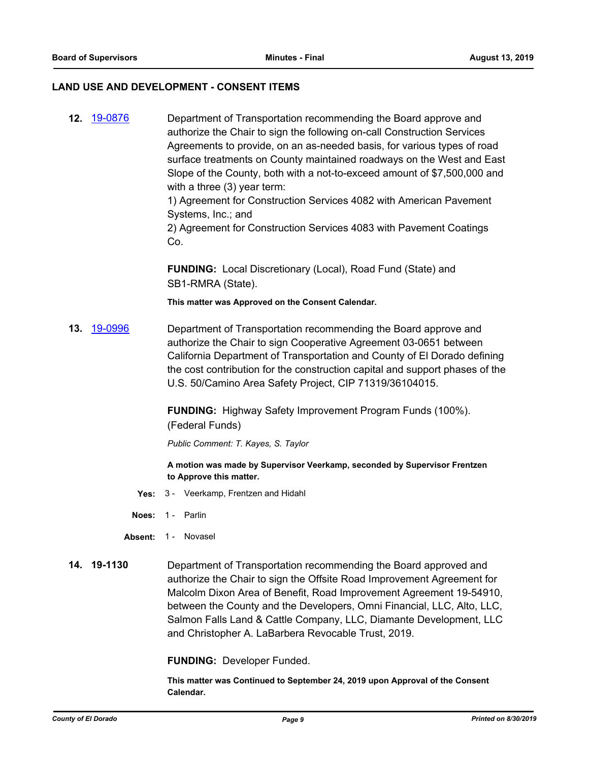### **LAND USE AND DEVELOPMENT - CONSENT ITEMS**

**12.** [19-0876](http://eldorado.legistar.com/gateway.aspx?m=l&id=/matter.aspx?key=26199) Department of Transportation recommending the Board approve and authorize the Chair to sign the following on-call Construction Services Agreements to provide, on an as-needed basis, for various types of road surface treatments on County maintained roadways on the West and East Slope of the County, both with a not-to-exceed amount of \$7,500,000 and with a three (3) year term:

1) Agreement for Construction Services 4082 with American Pavement Systems, Inc.; and

2) Agreement for Construction Services 4083 with Pavement Coatings Co.

**FUNDING:** Local Discretionary (Local), Road Fund (State) and SB1-RMRA (State).

**This matter was Approved on the Consent Calendar.**

**13.** [19-0996](http://eldorado.legistar.com/gateway.aspx?m=l&id=/matter.aspx?key=26319) Department of Transportation recommending the Board approve and authorize the Chair to sign Cooperative Agreement 03-0651 between California Department of Transportation and County of El Dorado defining the cost contribution for the construction capital and support phases of the U.S. 50/Camino Area Safety Project, CIP 71319/36104015.

> **FUNDING:** Highway Safety Improvement Program Funds (100%). (Federal Funds)

*Public Comment: T. Kayes, S. Taylor*

**A motion was made by Supervisor Veerkamp, seconded by Supervisor Frentzen to Approve this matter.**

- **Yes:** 3 Veerkamp, Frentzen and Hidahl
- **Noes:** 1 Parlin
- Absent: 1 Novasel
- **14. 19-1130** Department of Transportation recommending the Board approved and authorize the Chair to sign the Offsite Road Improvement Agreement for Malcolm Dixon Area of Benefit, Road Improvement Agreement 19-54910, between the County and the Developers, Omni Financial, LLC, Alto, LLC, Salmon Falls Land & Cattle Company, LLC, Diamante Development, LLC and Christopher A. LaBarbera Revocable Trust, 2019.

**FUNDING:** Developer Funded.

**This matter was Continued to September 24, 2019 upon Approval of the Consent Calendar.**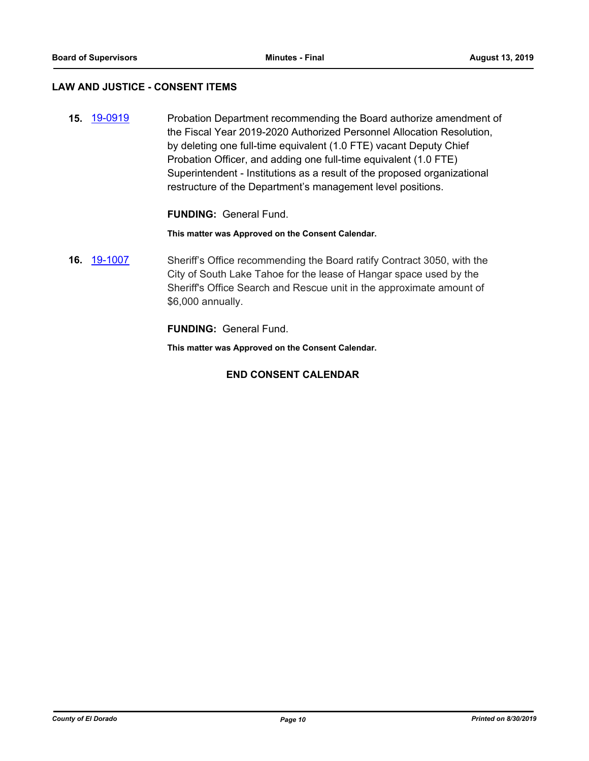### **LAW AND JUSTICE - CONSENT ITEMS**

**15.** [19-0919](http://eldorado.legistar.com/gateway.aspx?m=l&id=/matter.aspx?key=26242) Probation Department recommending the Board authorize amendment of the Fiscal Year 2019-2020 Authorized Personnel Allocation Resolution, by deleting one full-time equivalent (1.0 FTE) vacant Deputy Chief Probation Officer, and adding one full-time equivalent (1.0 FTE) Superintendent - Institutions as a result of the proposed organizational restructure of the Department's management level positions.

### **FUNDING:** General Fund.

### **This matter was Approved on the Consent Calendar.**

**16.** [19-1007](http://eldorado.legistar.com/gateway.aspx?m=l&id=/matter.aspx?key=26329) Sheriff's Office recommending the Board ratify Contract 3050, with the City of South Lake Tahoe for the lease of Hangar space used by the Sheriff's Office Search and Rescue unit in the approximate amount of \$6,000 annually.

**FUNDING:** General Fund.

**This matter was Approved on the Consent Calendar.**

### **END CONSENT CALENDAR**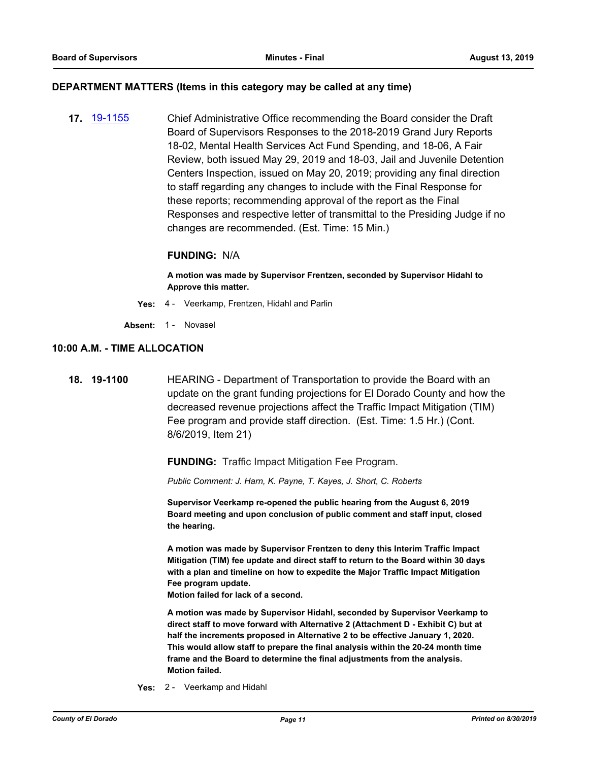### **DEPARTMENT MATTERS (Items in this category may be called at any time)**

**17.** [19-1155](http://eldorado.legistar.com/gateway.aspx?m=l&id=/matter.aspx?key=26477) Chief Administrative Office recommending the Board consider the Draft Board of Supervisors Responses to the 2018-2019 Grand Jury Reports 18-02, Mental Health Services Act Fund Spending, and 18-06, A Fair Review, both issued May 29, 2019 and 18-03, Jail and Juvenile Detention Centers Inspection, issued on May 20, 2019; providing any final direction to staff regarding any changes to include with the Final Response for these reports; recommending approval of the report as the Final Responses and respective letter of transmittal to the Presiding Judge if no changes are recommended. (Est. Time: 15 Min.)

### **FUNDING:** N/A

**A motion was made by Supervisor Frentzen, seconded by Supervisor Hidahl to Approve this matter.**

- **Yes:** 4 Veerkamp, Frentzen, Hidahl and Parlin
- Absent: 1 Novasel

### **10:00 A.M. - TIME ALLOCATION**

**18. 19-1100** HEARING - Department of Transportation to provide the Board with an update on the grant funding projections for El Dorado County and how the decreased revenue projections affect the Traffic Impact Mitigation (TIM) Fee program and provide staff direction. (Est. Time: 1.5 Hr.) (Cont. 8/6/2019, Item 21)

**FUNDING:** Traffic Impact Mitigation Fee Program.

*Public Comment: J. Harn, K. Payne, T. Kayes, J. Short, C. Roberts*

**Supervisor Veerkamp re-opened the public hearing from the August 6, 2019 Board meeting and upon conclusion of public comment and staff input, closed the hearing.**

**A motion was made by Supervisor Frentzen to deny this Interim Traffic Impact Mitigation (TIM) fee update and direct staff to return to the Board within 30 days with a plan and timeline on how to expedite the Major Traffic Impact Mitigation Fee program update.**

**Motion failed for lack of a second.**

**A motion was made by Supervisor Hidahl, seconded by Supervisor Veerkamp to direct staff to move forward with Alternative 2 (Attachment D - Exhibit C) but at half the increments proposed in Alternative 2 to be effective January 1, 2020. This would allow staff to prepare the final analysis within the 20-24 month time frame and the Board to determine the final adjustments from the analysis. Motion failed.**

**Yes:** 2 - Veerkamp and Hidahl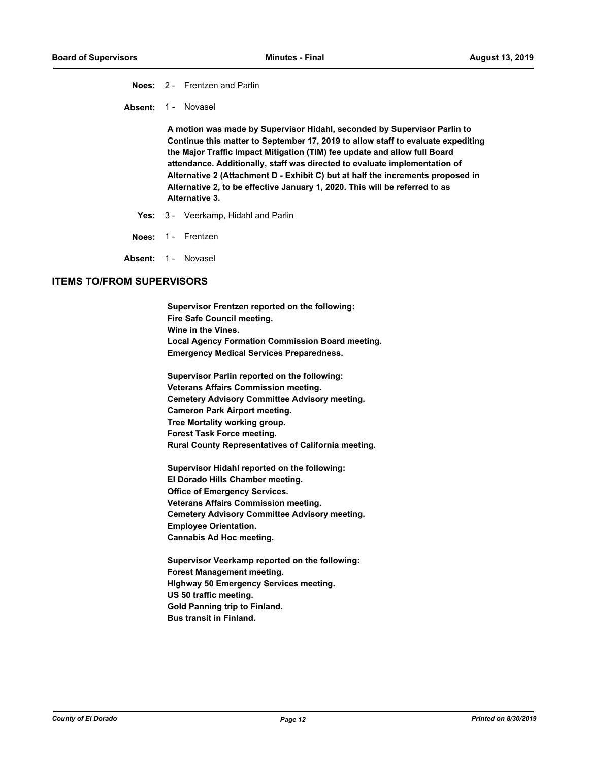**Noes:** 2 - Frentzen and Parlin

Absent: 1 - Novasel

**A motion was made by Supervisor Hidahl, seconded by Supervisor Parlin to Continue this matter to September 17, 2019 to allow staff to evaluate expediting the Major Traffic Impact Mitigation (TIM) fee update and allow full Board attendance. Additionally, staff was directed to evaluate implementation of Alternative 2 (Attachment D - Exhibit C) but at half the increments proposed in Alternative 2, to be effective January 1, 2020. This will be referred to as Alternative 3.**

- **Yes:** 3 Veerkamp, Hidahl and Parlin
- **Noes:** 1 Frentzen

Absent: 1 - Novasel

### **ITEMS TO/FROM SUPERVISORS**

**Supervisor Frentzen reported on the following: Fire Safe Council meeting. Wine in the Vines. Local Agency Formation Commission Board meeting. Emergency Medical Services Preparedness.**

**Supervisor Parlin reported on the following: Veterans Affairs Commission meeting. Cemetery Advisory Committee Advisory meeting. Cameron Park Airport meeting. Tree Mortality working group. Forest Task Force meeting. Rural County Representatives of California meeting.**

**Supervisor Hidahl reported on the following: El Dorado Hills Chamber meeting. Office of Emergency Services. Veterans Affairs Commission meeting. Cemetery Advisory Committee Advisory meeting. Employee Orientation. Cannabis Ad Hoc meeting.**

**Supervisor Veerkamp reported on the following: Forest Management meeting. HIghway 50 Emergency Services meeting. US 50 traffic meeting. Gold Panning trip to Finland. Bus transit in Finland.**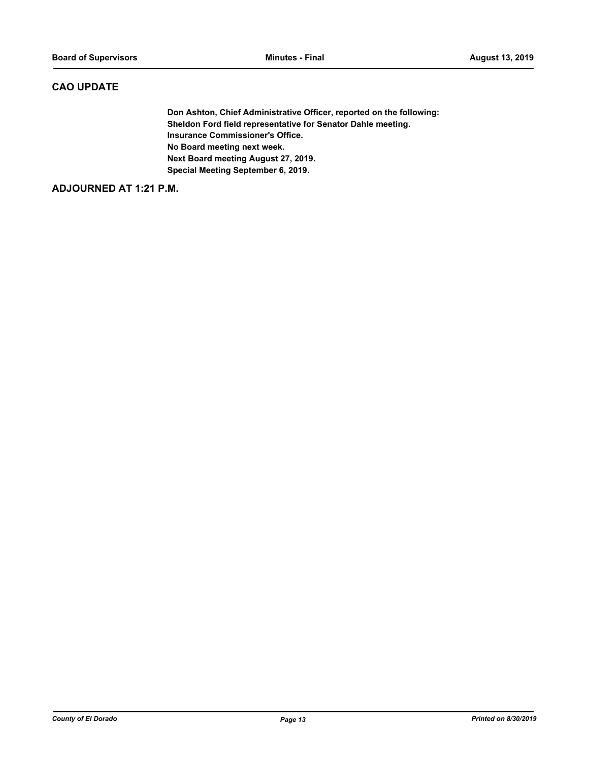### **CAO UPDATE**

**Don Ashton, Chief Administrative Officer, reported on the following: Sheldon Ford field representative for Senator Dahle meeting. Insurance Commissioner's Office. No Board meeting next week. Next Board meeting August 27, 2019. Special Meeting September 6, 2019.**

### **ADJOURNED AT 1:21 P.M.**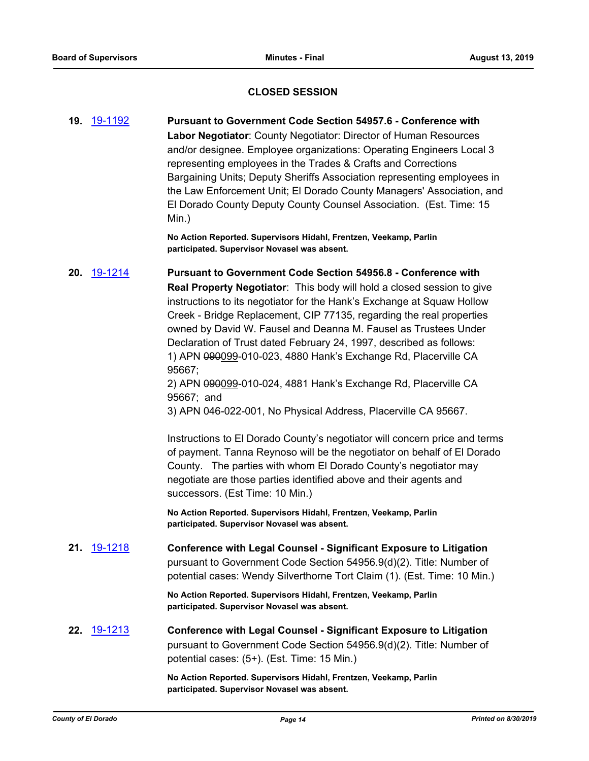### **CLOSED SESSION**

**19.** [19-1192](http://eldorado.legistar.com/gateway.aspx?m=l&id=/matter.aspx?key=26515) **Pursuant to Government Code Section 54957.6 - Conference with Labor Negotiator**: County Negotiator: Director of Human Resources and/or designee. Employee organizations: Operating Engineers Local 3 representing employees in the Trades & Crafts and Corrections Bargaining Units; Deputy Sheriffs Association representing employees in the Law Enforcement Unit; El Dorado County Managers' Association, and El Dorado County Deputy County Counsel Association. (Est. Time: 15 Min.)

> **No Action Reported. Supervisors Hidahl, Frentzen, Veekamp, Parlin participated. Supervisor Novasel was absent.**

**20.** [19-1214](http://eldorado.legistar.com/gateway.aspx?m=l&id=/matter.aspx?key=26537) **Pursuant to Government Code Section 54956.8 - Conference with Real Property Negotiator**: This body will hold a closed session to give instructions to its negotiator for the Hank's Exchange at Squaw Hollow Creek - Bridge Replacement, CIP 77135, regarding the real properties owned by David W. Fausel and Deanna M. Fausel as Trustees Under Declaration of Trust dated February 24, 1997, described as follows: 1) APN 090099-010-023, 4880 Hank's Exchange Rd, Placerville CA 95667;

2) APN 090099-010-024, 4881 Hank's Exchange Rd, Placerville CA 95667; and

3) APN 046-022-001, No Physical Address, Placerville CA 95667.

Instructions to El Dorado County's negotiator will concern price and terms of payment. Tanna Reynoso will be the negotiator on behalf of El Dorado County. The parties with whom El Dorado County's negotiator may negotiate are those parties identified above and their agents and successors. (Est Time: 10 Min.)

**No Action Reported. Supervisors Hidahl, Frentzen, Veekamp, Parlin participated. Supervisor Novasel was absent.**

**21.** [19-1218](http://eldorado.legistar.com/gateway.aspx?m=l&id=/matter.aspx?key=26541) **Conference with Legal Counsel - Significant Exposure to Litigation** pursuant to Government Code Section 54956.9(d)(2). Title: Number of potential cases: Wendy Silverthorne Tort Claim (1). (Est. Time: 10 Min.)

> **No Action Reported. Supervisors Hidahl, Frentzen, Veekamp, Parlin participated. Supervisor Novasel was absent.**

**22.** [19-1213](http://eldorado.legistar.com/gateway.aspx?m=l&id=/matter.aspx?key=26536) **Conference with Legal Counsel - Significant Exposure to Litigation** pursuant to Government Code Section 54956.9(d)(2). Title: Number of potential cases: (5+). (Est. Time: 15 Min.)

> **No Action Reported. Supervisors Hidahl, Frentzen, Veekamp, Parlin participated. Supervisor Novasel was absent.**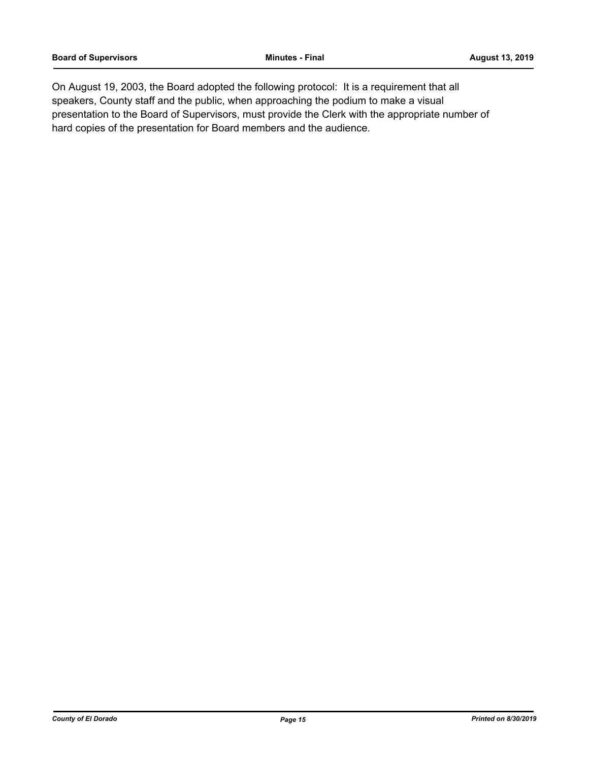On August 19, 2003, the Board adopted the following protocol: It is a requirement that all speakers, County staff and the public, when approaching the podium to make a visual presentation to the Board of Supervisors, must provide the Clerk with the appropriate number of hard copies of the presentation for Board members and the audience.